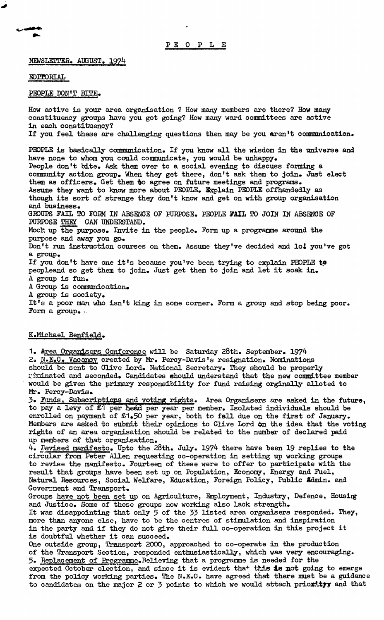NEWSLETTER. AUGUST. 1974

## EDITORIAL

## PEOPLE DON'T BITE.

How active is your area organisation ? How many members are there? How many constituency groups have you got going? How many ward committees are active in each constituency? If you feel these are challenging questions then may be you aren't communication. PEOPLE is basically communication. If you know all the wisdom in the universe and

have none to whom you could communicate, you would be unhappy. People don't bite. Ask them over to a social evening to discuss forming a community action group. When they get there, don't ask them to join. Just elect them as officers. Get them to agree on future meetings and programs. Assume they want to know more about PEOPLE. Explain PEOPLE offhandedly as though its sort of strange they don't know and get on with group organisation and business. GROUPS FAIL TO FORM IN ABSENCE OF PURPOSE. PEOPLE FAIL TO JOIN IN ABSENCE OF PURPOSE THEY CAN UNDERSTAND. Mocht up the purpose. Invite in the people. Form up a programme around the purpose and away you go. Don't run instruction courses on them. Assume they've decided and loi you've got a group. If you don't have one it's because you've been trying to explain PEOPLE to peopleand so get them to join. Just get them to join and let it soak in. A group is fun. A Group is communication.

A group is society.

It's a poor man who isn't king in some corner. Form a group and stop being poor. Form a group. .

## K.Michael Benfield.

1. Area Organisers Conference will be Saturday 28th. September. 1974 2. N.E.C. Vacancy created by Mr. Percy-Davis's resignation. Nominations should be sent to Olive Lord. National Secretary. They should be properly r\*ninated and seconded. Candidates should understand that the new committee member would be given the primary responsibility for fund raising orginally alloted to Mr. Percy-Davis.

3» Funds, Subscriptions and voting rights. Area Organisers are asked in the future, to pay a levy of £1 per head per year per member. Isolated individuals should be enrolled on payment of £1.50 per year, both to fall due on the first of January. Members are asked to submit their opinions to Clive Lord 6n the idea that the voting rights of an area organisation should be related to the number of declared paid up members of that organisation.

4. Revised manifesto. Upto the 28th. July. 1974 there have been 19 replies to the circular from Peter Allen requesting co-operation in setting up working groups to revise the manifesto. Fourteen of these were to offer to participate with the result that groups have been set up on Population, Economy, Energy and Fuel, Natural Resources, Social Welfare, Education, Foreign Policy, Public *Sdmin*. and Government and Transport.

Groups have not been set up on Agriculture, Employment, Industry, Defence, Housing and Justice. Some of these groups now working also lack strength. It was disappointing that only **5** of the 33 listed area organisers responded. They, more than anyone else, have to be the centres of stimulation and inspiration in the party and if they do not give their full co-operation in this project it is doubtful whether it can succeed.

One outside group, Transport 2000, approached to co-operate in the production of the Transport Section, responded enthusiastically, which was very encouraging. ,5. Replacement of Programme.Believing that a programme is needed for the expected October election, and since it is evident that this is not going to emerge from the policy working parties. The N.E.C. have agreed that there must be a guidance to candidates on the major 2 or 3 points to which we would attach priority and that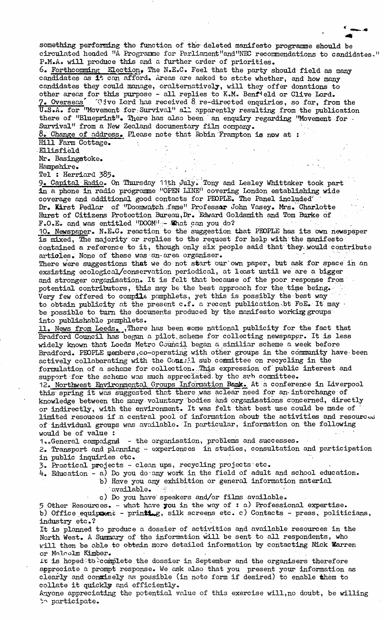something performing the function of the deleted manifesto programme should be circulated headed "A Programme for Parliament"and"NEC recommendations to candidates." P.M.Ao will produce this and a further order of priorities.

6. Forthcomming Election» The N.E.C. Feel that the party should field as many candidates as it can afford. Areas are asked to state whether, and how many candidates they could manage, oralternatively, will they offer donations to other areas for this purpose - all replies to K.M. Benf<sup>i</sup>eld or Clive Lord. 7. Overseas  $\sim$  1 ive lord has received 8 re-directed enquiries, so far, from the U.S.A. for "Movement for.Survival" all apparently resulting from the publication there of "Blueprint". There has also been an enquiry regarding "Movement for -Survival" from a New Zealand documentary film company.

8. Change of address. ELease note that Robin Frampton is now at :

Hill Farm Cottage.

Ellisfield

Nr. Basingstoke.

Hampshire.

Tel : Herriard 385.

9. Capital Radio. On Thursday 11th July.'Tony and Lesley Whittaker took part in a phone in radio programme "OPEN LINE11 covering London establishing wide coverage and additional good contacts for PEOPLE. The Panel included' Dr. Kirst Pedlar of "Doomwatch fame" Professor John Vasey. Mrs. Charlotte Hurst of Citizens Protection Bureau,Dr. Edward Goldsmith and Tom Burke of F.O.Eo and was entitled "DOOM" ;- What can you do?

10. Newspaper. N.E.C• reaction to the suggestion that PEOPLE has its own newspaper is mixed, The majority or replies to the request for help with the manifesto contained a reference to it, though only six people said that; they, would contribute artioles. None of these was an area organiser.

There were suggestions that we do not start our own paper, but ask for space in an exsisting ecological/conservation periodical, at least until we are a bigger and stronger organisation. It is felt that because of the poor response from potential contributors, this may be the best approach for the time being. Very few offered to compile pamphlets, yet this is possibly the best way to obtain publicity at the present c.f. a recent publication-bt FoE. It may • be possible to turn the documents produced by the manifesto working groups into publishable pamphlets.

11. News from Leeds. , There has been some national publicity for the fact that Bradford Council has begun a pilot., scheme for collecting newspaper. It is less widely known that Leeds Metro Council began a similiar scheme a week before Bradford. PEOPLE members,co-operating with other groups in the community have been actively collaborating with the Cour: I sub committee on recycling in the formulation of a scheme for collection. This expression of public interest and support for the scheme was much appreciated, by the svh committee.

12. Northwest Environmental Groups Information Bank. At a conference in Liverpool this spring it was suggested that there was aclear need for an-interchange of knowledge between the many voluntary bodies and organisations concerned, directly or indirectly, with the environment. It was felt that best use could be made of limited resouces if a central pool of information about the activities and resources of individual groups was available. In particular, information on the following would be of value :

1. General campaignd - the organisation, problems and successes.

2. Transport and planning - experiences in studies, consultation and participation in public inquiries etc.

3. Practical projects - clean ups, recycling projects etc.

4. Education - a) Do you do any work in the field of adult and school education.

b) Have you any exhibition or general information material available. '

c) Do you have' speakers and/or films available.

5 Other Resources. - what have you in the way of : a) Professional expertise. b) Office equipment - printing, silk screens etc. c) Contacts - press, politicians, industry etc.?

It is planned to produce a dossier of activities and available resources in the North West. A Summary of the information will be sent to all respondents, who will then be able to obtain more detailed information by contacting Nick Barren or Mnloolm KLmber.

It is hoped to complete the dossier in September and the organisers therefore appreciate a prompt response. We ask also that you present your information as clearly and conxisely as possible (in note form if desired) to enable them to collate it quickly and efficiently.

Anyone appreciating the potential value of this exercise will,no doubt, be willing ^"» participate.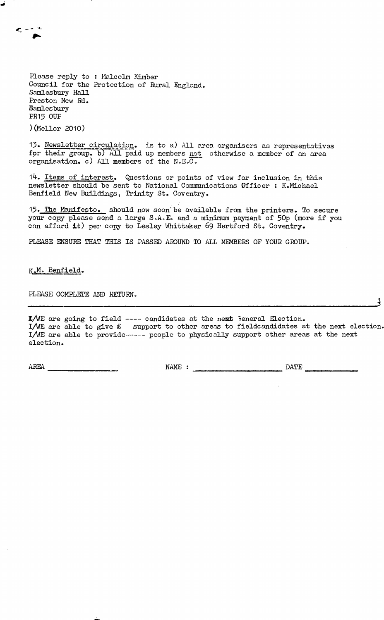Please reply to : Malcolm Kimber Council for the Protection of Rural England. Samlesbury Hall Preston New Rd. Bamlesbury PR15 OUP

)(Mellor 2010)

13. Newsletter circulation, is to a) All area organisers as representatives for their group, b) All paid up members not otherwise a member of an area organisation. c) All members of the N.E.C.

14. Items of interest. Questions or points of view for inclusion in this newsletter should be sent to National Communications Officer : K.Michael Benfield New Buildings, Trinity St. Coventry.

13. The Manifesto, should now soon'be available from the printers. To secure your copy please send a large S.A.E. and a minimum payment of 50p (more if you can afford it) per copy to Lesley Whittaker 69 Hertford St. Coventry.

PLEASE ENSURE THAT THIS IS PASSED AROUND TO ALL MEMBERS OF YOUR GROUP.

K.Mo Benfield.

PLEASE COMPLETE AND RETURN.

 ${\tt I/WE}$  are going to field ---- candidates at the next feneral Election. I/WE are able to give £ support to other areas to fieldcandidates at the next election. I/WE are able to provide------ people to physically support other areas at the next election.

AREA NAME : DATE

*i*